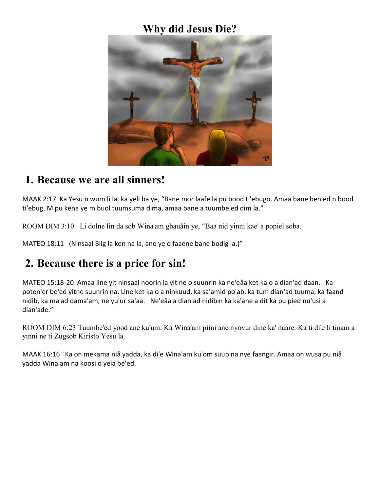### **Why did Jesus Die?**



#### **1. Because we are all sinners!**

MAAK 2:17 Ka Yesu n wum li la, ka yeli ba ye, "Bane mor laafe la pu bood ti'ebugo. Amaa bane ben'ed n bood ti'ebug. M pu kena ye m buol tuumsuma dima, amaa bane a tuumbe'ed dim la."

ROOM DIM 3:10 Li dolne lin da sob Wina'am gbauåin ye, "Baa nid yinni kae' a popiel soba.

MATEO 18:11 (Ninsaal Biig la ken na la, ane ye o faaene bane bodig la.)"

# **2. Because there is a price for sin!**

MATEO 15:18-20 Amaa line yit ninsaal noorin la yit ne o suunrin ka ne'eåa ket ka o a dian'ad daan. Ka poten'er be'ed yitne suunrin na. Line ket ka o a ninkuud, ka sa'amid po'ab, ka tum dian'ad tuuma, ka faand nidib, ka ma'ad dama'am, ne yu'ur sa'aå. Ne'eåa a dian'ad nidibin ka ka'ane a dit ka pu pied nu'usi a dian'ade."

ROOM DIM 6:23 Tuumbe'ed yood ane ku'um. Ka Wina'am piini ane nyovur dine ka' naare. Ka ti di'e li tinam a yinni ne ti Zugsob Kiristo Yesu la.

MAAK 16:16 Ka on mekama niå yadda, ka di'e Wina'am ku'om suub na nye faangir. Amaa on wusa pu niå yadda Wina'am na koosi o yela be'ed.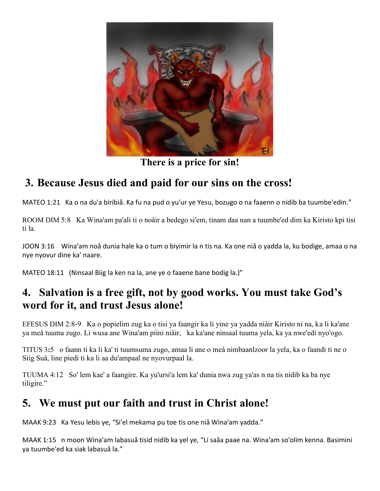

**There is a price for sin!**

# **3. Because Jesus died and paid for our sins on the cross!**

MATEO 1:21 Ka o na du'a biribiå. Ka fu na pud o yu'ur ye Yesu, bozugo o na faaenn o nidib ba tuumbe'edin."

ROOM DIM 5:8 Ka Wina'am pa'ali ti o noåir a bedego si'em, tinam daa nan a tuumbe'ed dim ka Kiristo kpi tisi ti la.

JOON 3:16 Wina'am noå dunia hale ka o tum o biyimir la n tis na. Ka one niå o yadda la, ku bodige, amaa o na nye nyovur dine ka' naare.

MATEO 18:11 (Ninsaal Biig la ken na la, ane ye o faaene bane bodig la.)"

# **4. Salvation is a free gift, not by good works. You must take God's word for it, and trust Jesus alone!**

EFESUS DIM 2:8-9 Ka o popielim zug ka o tisi ya faangir ka li yine ya yadda niåir Kiristo ni na, ka li ka'ane ya meå tuuma zugo. Li wusa ane Wina'am piini niåir, ka ka'ane ninsaal tuuma yela, ka ya nwe'edi nyo'ogo.

TITUS 3**:**5 o faann ti ka li ka' ti tuumsuma zugo, amaa li ane o meå nimbaanlzoor la yela, ka o faandi ti ne o Siig Suå, line piedi ti ka li aa du'ampaal ne nyovurpaal la.

TUUMA 4:12 So' lem kae' a faangire. Ka yu'ursi'a lem ka' dunia nwa zug ya'as n na tis nidib ka ba nye tiligire."

# **5. We must put our faith and trust in Christ alone!**

MAAK 9:23 Ka Yesu lebis ye, "Si'el mekama pu toe tis one niå Wina'am yadda."

MAAK 1:15 n moon Wina'am labasuå tisid nidib ka yel ye, "Li saåa paae na. Wina'am so'olim kenna. Basimini ya tuumbe'ed ka siak labasuå la."